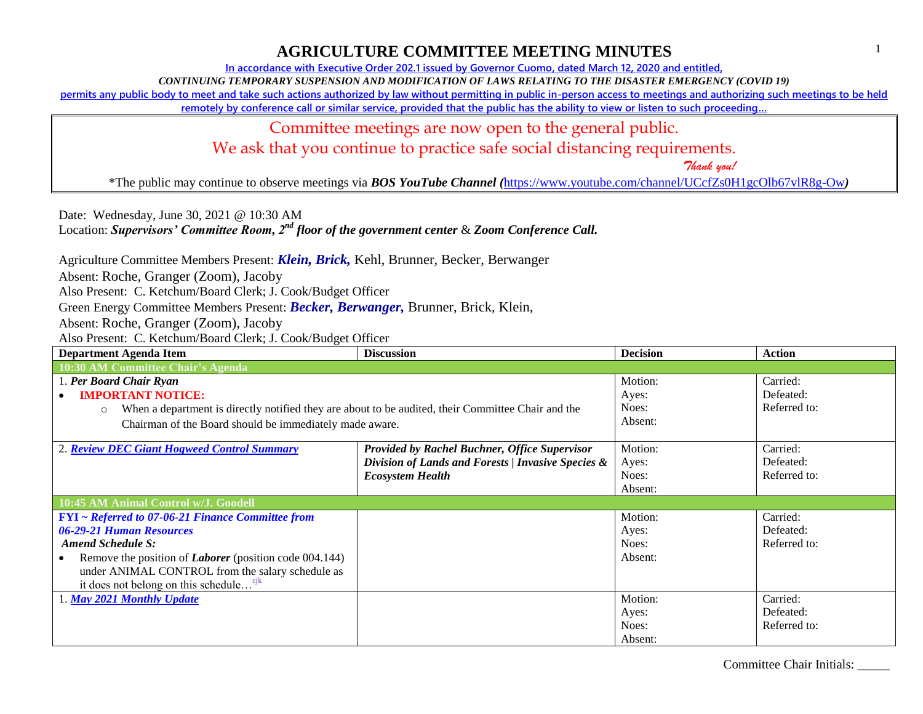#### Committee Chair Initials: \_\_\_\_\_

### **AGRICULTURE COMMITTEE MEETING MINUTES**

**In accordance with Executive Order 202.1 issued by Governor Cuomo, dated March 12, 2020 and entitled,**

*CONTINUING TEMPORARY SUSPENSION AND MODIFICATION OF LAWS RELATING TO THE DISASTER EMERGENCY (COVID 19)*

**permits any public body to meet and take such actions authorized by law without permitting in public in-person access to meetings and authorizing such meetings to be held** 

**remotely by conference call or similar service, provided that the public has the ability to view or listen to such proceeding…**

Committee meetings are now open to the general public.

We ask that you continue to practice safe social distancing requirements.

 *Thank you!*

\*The public may continue to observe meetings via *BOS YouTube Channel (*<https://www.youtube.com/channel/UCcfZs0H1gcOlb67vlR8g-Ow>*)*

Date: Wednesday, June 30, 2021 @ 10:30 AM Location: *Supervisors' Committee Room, 2nd floor of the government center* & *Zoom Conference Call.*

Agriculture Committee Members Present: *Klein, Brick,* Kehl, Brunner, Becker, Berwanger

Absent: Roche, Granger (Zoom), Jacoby

Also Present: C. Ketchum/Board Clerk; J. Cook/Budget Officer

Green Energy Committee Members Present: *Becker, Berwanger,* Brunner, Brick, Klein,

Absent: Roche, Granger (Zoom), Jacoby

| <b>Department Agenda Item</b>                                                                                 | <b>Discussion</b>                                    | <b>Decision</b> | <b>Action</b> |
|---------------------------------------------------------------------------------------------------------------|------------------------------------------------------|-----------------|---------------|
| 10:30 AM Committee Chair's Agenda                                                                             |                                                      |                 |               |
| 1. Per Board Chair Ryan                                                                                       |                                                      | Motion:         | Carried:      |
| <b>IMPORTANT NOTICE:</b>                                                                                      |                                                      | Ayes:           | Defeated:     |
| When a department is directly notified they are about to be audited, their Committee Chair and the<br>$\circ$ |                                                      | Noes:           | Referred to:  |
| Chairman of the Board should be immediately made aware.                                                       |                                                      | Absent:         |               |
|                                                                                                               |                                                      |                 |               |
| 2. Review DEC Giant Hogweed Control Summary                                                                   | <b>Provided by Rachel Buchner, Office Supervisor</b> | Motion:         | Carried:      |
|                                                                                                               | Division of Lands and Forests / Invasive Species &   | Ayes:           | Defeated:     |
|                                                                                                               | <b>Ecosystem Health</b>                              | Noes:           | Referred to:  |
|                                                                                                               |                                                      | Absent:         |               |
| 10:45 AM Animal Control w/J. Goodell                                                                          |                                                      |                 |               |
| <b>FYI</b> ~ Referred to 07-06-21 Finance Committee from                                                      |                                                      | Motion:         | Carried:      |
| 06-29-21 Human Resources                                                                                      |                                                      | Ayes:           | Defeated:     |
| <b>Amend Schedule S:</b>                                                                                      |                                                      | Noes:           | Referred to:  |
| Remove the position of <i>Laborer</i> (position code 004.144)                                                 |                                                      | Absent:         |               |
| under ANIMAL CONTROL from the salary schedule as                                                              |                                                      |                 |               |
| it does not belong on this schedule <sup>cjk</sup>                                                            |                                                      |                 |               |
| 1. May 2021 Monthly Update                                                                                    |                                                      | Motion:         | Carried:      |
|                                                                                                               |                                                      | Ayes:           | Defeated:     |
|                                                                                                               |                                                      | Noes:           | Referred to:  |
|                                                                                                               |                                                      | Absent:         |               |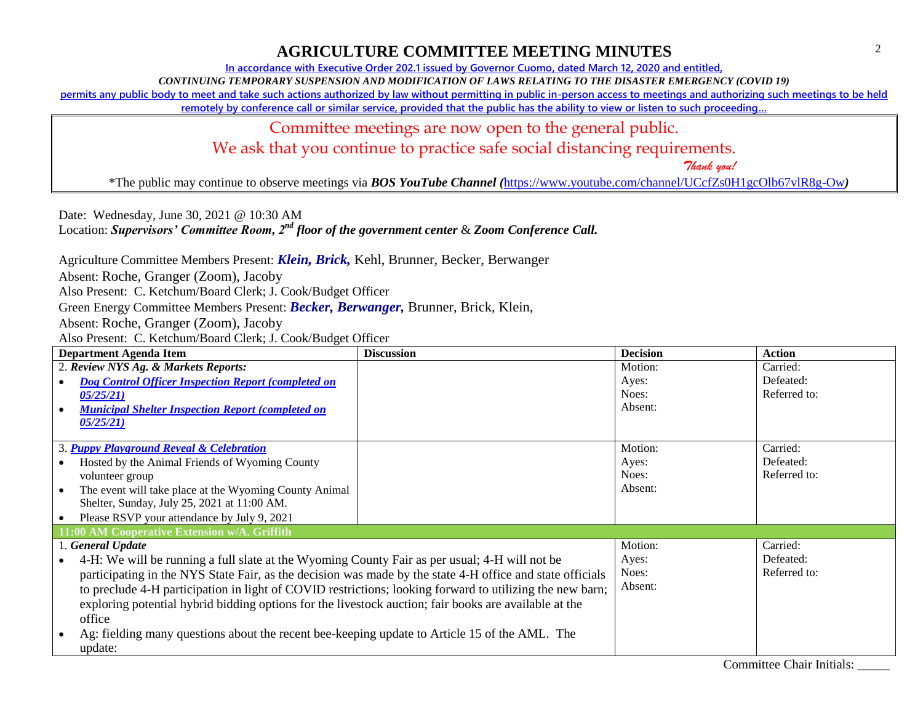2

#### **AGRICULTURE COMMITTEE MEETING MINUTES**

**In accordance with Executive Order 202.1 issued by Governor Cuomo, dated March 12, 2020 and entitled,**

*CONTINUING TEMPORARY SUSPENSION AND MODIFICATION OF LAWS RELATING TO THE DISASTER EMERGENCY (COVID 19)*

**permits any public body to meet and take such actions authorized by law without permitting in public in-person access to meetings and authorizing such meetings to be held** 

**remotely by conference call or similar service, provided that the public has the ability to view or listen to such proceeding…**

Committee meetings are now open to the general public.

We ask that you continue to practice safe social distancing requirements.

 *Thank you!*

\*The public may continue to observe meetings via *BOS YouTube Channel (*<https://www.youtube.com/channel/UCcfZs0H1gcOlb67vlR8g-Ow>*)*

Date: Wednesday, June 30, 2021 @ 10:30 AM Location: *Supervisors' Committee Room, 2nd floor of the government center* & *Zoom Conference Call.*

Agriculture Committee Members Present: *Klein, Brick,* Kehl, Brunner, Becker, Berwanger

Absent: Roche, Granger (Zoom), Jacoby

Also Present: C. Ketchum/Board Clerk; J. Cook/Budget Officer

Green Energy Committee Members Present: *Becker, Berwanger,* Brunner, Brick, Klein,

Absent: Roche, Granger (Zoom), Jacoby

| <b>Department Agenda Item</b>                                                                             | <b>Discussion</b> | <b>Decision</b> | <b>Action</b> |
|-----------------------------------------------------------------------------------------------------------|-------------------|-----------------|---------------|
| 2. Review NYS Ag. & Markets Reports:                                                                      |                   | Motion:         | Carried:      |
| <b>Dog Control Officer Inspection Report (completed on</b>                                                |                   | Ayes:           | Defeated:     |
| 05/25/21)                                                                                                 |                   | Noes:           | Referred to:  |
| <b>Municipal Shelter Inspection Report (completed on</b>                                                  |                   | Absent:         |               |
| 05/25/21                                                                                                  |                   |                 |               |
|                                                                                                           |                   |                 |               |
| 3. Puppy Playground Reveal & Celebration                                                                  |                   | Motion:         | Carried:      |
| Hosted by the Animal Friends of Wyoming County                                                            |                   | Ayes:           | Defeated:     |
| volunteer group                                                                                           |                   | Noes:           | Referred to:  |
| The event will take place at the Wyoming County Animal<br>$\bullet$                                       |                   | Absent:         |               |
| Shelter, Sunday, July 25, 2021 at 11:00 AM.                                                               |                   |                 |               |
| Please RSVP your attendance by July 9, 2021                                                               |                   |                 |               |
| 11:00 AM Cooperative Extension w/A. Griffith                                                              |                   |                 |               |
| 1. General Update                                                                                         |                   | Motion:         | Carried:      |
| 4-H: We will be running a full slate at the Wyoming County Fair as per usual; 4-H will not be             |                   | Ayes:           | Defeated:     |
| participating in the NYS State Fair, as the decision was made by the state 4-H office and state officials |                   | Noes:           | Referred to:  |
| to preclude 4-H participation in light of COVID restrictions; looking forward to utilizing the new barn;  |                   | Absent:         |               |
| exploring potential hybrid bidding options for the livestock auction; fair books are available at the     |                   |                 |               |
| office                                                                                                    |                   |                 |               |
| Ag: fielding many questions about the recent bee-keeping update to Article 15 of the AML. The             |                   |                 |               |
|                                                                                                           |                   |                 |               |
| update:                                                                                                   |                   |                 |               |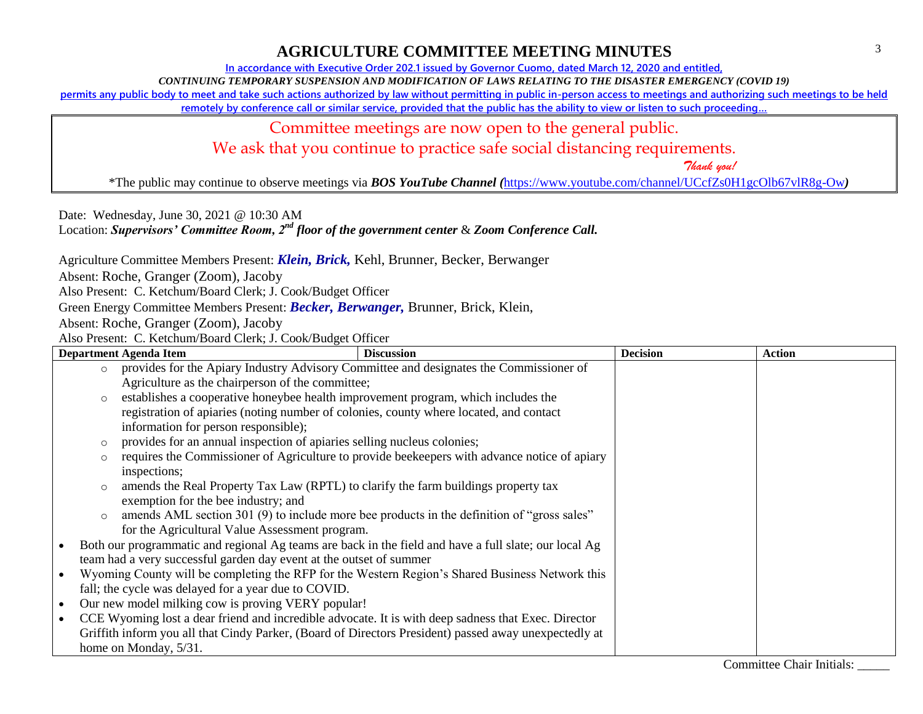# **AGRICULTURE COMMITTEE MEETING MINUTES**

**In accordance with Executive Order 202.1 issued by Governor Cuomo, dated March 12, 2020 and entitled,**

*CONTINUING TEMPORARY SUSPENSION AND MODIFICATION OF LAWS RELATING TO THE DISASTER EMERGENCY (COVID 19)*

**permits any public body to meet and take such actions authorized by law without permitting in public in-person access to meetings and authorizing such meetings to be held** 

**remotely by conference call or similar service, provided that the public has the ability to view or listen to such proceeding…**

Committee meetings are now open to the general public.

We ask that you continue to practice safe social distancing requirements.

 *Thank you!*

\*The public may continue to observe meetings via *BOS YouTube Channel (*<https://www.youtube.com/channel/UCcfZs0H1gcOlb67vlR8g-Ow>*)*

Date: Wednesday, June 30, 2021 @ 10:30 AM

Location: *Supervisors' Committee Room, 2nd floor of the government center* & *Zoom Conference Call.*

Agriculture Committee Members Present: *Klein, Brick,* Kehl, Brunner, Becker, Berwanger

Absent: Roche, Granger (Zoom), Jacoby

Also Present: C. Ketchum/Board Clerk; J. Cook/Budget Officer

Green Energy Committee Members Present: *Becker, Berwanger,* Brunner, Brick, Klein,

Absent: Roche, Granger (Zoom), Jacoby

|                                                                                                 |                                                                                                     | <b>Department Agenda Item</b>                                                              | <b>Discussion</b>                                                                                     | <b>Decision</b> | <b>Action</b> |
|-------------------------------------------------------------------------------------------------|-----------------------------------------------------------------------------------------------------|--------------------------------------------------------------------------------------------|-------------------------------------------------------------------------------------------------------|-----------------|---------------|
|                                                                                                 | $\circ$                                                                                             | provides for the Apiary Industry Advisory Committee and designates the Commissioner of     |                                                                                                       |                 |               |
|                                                                                                 |                                                                                                     | Agriculture as the chairperson of the committee;                                           |                                                                                                       |                 |               |
|                                                                                                 | $\circ$                                                                                             | establishes a cooperative honeybee health improvement program, which includes the          |                                                                                                       |                 |               |
|                                                                                                 |                                                                                                     | registration of apiaries (noting number of colonies, county where located, and contact     |                                                                                                       |                 |               |
|                                                                                                 |                                                                                                     | information for person responsible);                                                       |                                                                                                       |                 |               |
|                                                                                                 | $\circ$                                                                                             | provides for an annual inspection of apiaries selling nucleus colonies;                    |                                                                                                       |                 |               |
|                                                                                                 | O                                                                                                   |                                                                                            | requires the Commissioner of Agriculture to provide beekeepers with advance notice of apiary          |                 |               |
|                                                                                                 |                                                                                                     | inspections;                                                                               |                                                                                                       |                 |               |
|                                                                                                 | $\circ$                                                                                             | amends the Real Property Tax Law (RPTL) to clarify the farm buildings property tax         |                                                                                                       |                 |               |
|                                                                                                 |                                                                                                     | exemption for the bee industry; and                                                        |                                                                                                       |                 |               |
|                                                                                                 | $\circ$                                                                                             | amends AML section 301 (9) to include more bee products in the definition of "gross sales" |                                                                                                       |                 |               |
|                                                                                                 |                                                                                                     | for the Agricultural Value Assessment program.                                             |                                                                                                       |                 |               |
| $\bullet$                                                                                       |                                                                                                     |                                                                                            | Both our programmatic and regional Ag teams are back in the field and have a full slate; our local Ag |                 |               |
|                                                                                                 | team had a very successful garden day event at the outset of summer                                 |                                                                                            |                                                                                                       |                 |               |
| Wyoming County will be completing the RFP for the Western Region's Shared Business Network this |                                                                                                     |                                                                                            |                                                                                                       |                 |               |
|                                                                                                 | fall; the cycle was delayed for a year due to COVID.                                                |                                                                                            |                                                                                                       |                 |               |
| Our new model milking cow is proving VERY popular!<br>$\bullet$                                 |                                                                                                     |                                                                                            |                                                                                                       |                 |               |
| $\bullet$                                                                                       | CCE Wyoming lost a dear friend and incredible advocate. It is with deep sadness that Exec. Director |                                                                                            |                                                                                                       |                 |               |
|                                                                                                 |                                                                                                     |                                                                                            | Griffith inform you all that Cindy Parker, (Board of Directors President) passed away unexpectedly at |                 |               |
|                                                                                                 |                                                                                                     | home on Monday, 5/31.                                                                      |                                                                                                       |                 |               |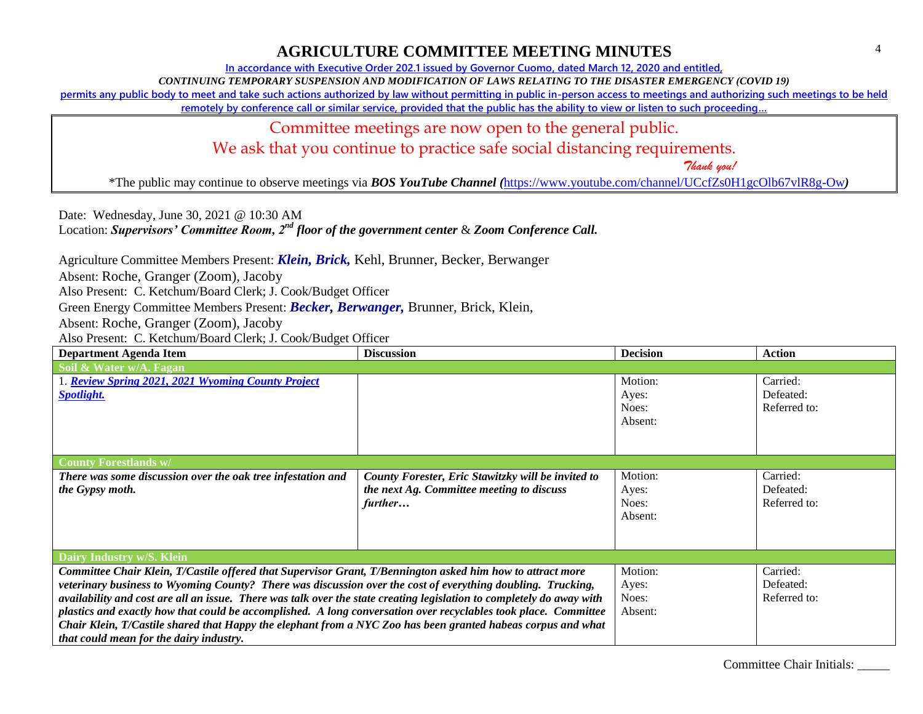## **AGRICULTURE COMMITTEE MEETING MINUTES**

**In accordance with Executive Order 202.1 issued by Governor Cuomo, dated March 12, 2020 and entitled,**

*CONTINUING TEMPORARY SUSPENSION AND MODIFICATION OF LAWS RELATING TO THE DISASTER EMERGENCY (COVID 19)*

**permits any public body to meet and take such actions authorized by law without permitting in public in-person access to meetings and authorizing such meetings to be held** 

**remotely by conference call or similar service, provided that the public has the ability to view or listen to such proceeding…**

Committee meetings are now open to the general public.

We ask that you continue to practice safe social distancing requirements.

 *Thank you!*

\*The public may continue to observe meetings via *BOS YouTube Channel (*<https://www.youtube.com/channel/UCcfZs0H1gcOlb67vlR8g-Ow>*)*

Date: Wednesday, June 30, 2021 @ 10:30 AM Location: *Supervisors' Committee Room, 2nd floor of the government center* & *Zoom Conference Call.*

Agriculture Committee Members Present: *Klein, Brick,* Kehl, Brunner, Becker, Berwanger

Absent: Roche, Granger (Zoom), Jacoby

Also Present: C. Ketchum/Board Clerk; J. Cook/Budget Officer

Green Energy Committee Members Present: *Becker, Berwanger,* Brunner, Brick, Klein,

Absent: Roche, Granger (Zoom), Jacoby

| <b>Department Agenda Item</b>                                                                                         | <b>Discussion</b>                                  | <b>Decision</b> | <b>Action</b> |
|-----------------------------------------------------------------------------------------------------------------------|----------------------------------------------------|-----------------|---------------|
| Soil & Water w/A. Fagan                                                                                               |                                                    |                 |               |
| <b>L. Review Spring 2021, 2021 Wyoming County Project</b>                                                             |                                                    | Motion:         | Carried:      |
| <b>Spotlight.</b>                                                                                                     |                                                    | Ayes:           | Defeated:     |
|                                                                                                                       |                                                    | Noes:           | Referred to:  |
|                                                                                                                       |                                                    | Absent:         |               |
|                                                                                                                       |                                                    |                 |               |
|                                                                                                                       |                                                    |                 |               |
| <b>County Forestlands w/</b>                                                                                          |                                                    |                 |               |
| There was some discussion over the oak tree infestation and                                                           | County Forester, Eric Stawitzky will be invited to | Motion:         | Carried:      |
| the Gypsy moth.                                                                                                       | the next Ag. Committee meeting to discuss          | Ayes:           | Defeated:     |
|                                                                                                                       | further                                            | Noes:           | Referred to:  |
|                                                                                                                       |                                                    | Absent:         |               |
|                                                                                                                       |                                                    |                 |               |
|                                                                                                                       |                                                    |                 |               |
| Dairy Industry w/S. Klein                                                                                             |                                                    |                 |               |
| Committee Chair Klein, T/Castile offered that Supervisor Grant, T/Bennington asked him how to attract more            |                                                    | Motion:         | Carried:      |
| veterinary business to Wyoming County? There was discussion over the cost of everything doubling. Trucking,           |                                                    | Ayes:           | Defeated:     |
| availability and cost are all an issue. There was talk over the state creating legislation to completely do away with |                                                    | Noes:           | Referred to:  |
| plastics and exactly how that could be accomplished. A long conversation over recyclables took place. Committee       |                                                    | Absent:         |               |
| Chair Klein, T/Castile shared that Happy the elephant from a NYC Zoo has been granted habeas corpus and what          |                                                    |                 |               |
| that could mean for the dairy industry.                                                                               |                                                    |                 |               |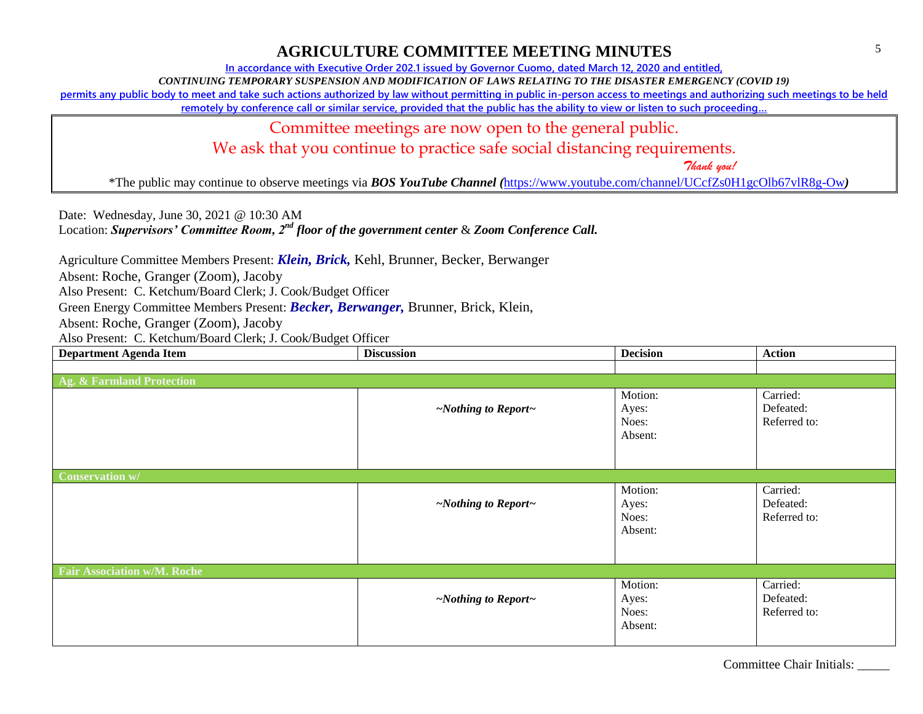#### **AGRICULTURE COMMITTEE MEETING MINUTES**

**In accordance with Executive Order 202.1 issued by Governor Cuomo, dated March 12, 2020 and entitled,**

*CONTINUING TEMPORARY SUSPENSION AND MODIFICATION OF LAWS RELATING TO THE DISASTER EMERGENCY (COVID 19)*

**permits any public body to meet and take such actions authorized by law without permitting in public in-person access to meetings and authorizing such meetings to be held** 

**remotely by conference call or similar service, provided that the public has the ability to view or listen to such proceeding…**

Committee meetings are now open to the general public.

We ask that you continue to practice safe social distancing requirements.

 *Thank you!*

\*The public may continue to observe meetings via *BOS YouTube Channel (*<https://www.youtube.com/channel/UCcfZs0H1gcOlb67vlR8g-Ow>*)*

Date: Wednesday, June 30, 2021 @ 10:30 AM Location: *Supervisors' Committee Room, 2nd floor of the government center* & *Zoom Conference Call.*

Agriculture Committee Members Present: *Klein, Brick,* Kehl, Brunner, Becker, Berwanger Absent: Roche, Granger (Zoom), Jacoby Also Present: C. Ketchum/Board Clerk; J. Cook/Budget Officer

Green Energy Committee Members Present: *Becker, Berwanger,* Brunner, Brick, Klein,

Absent: Roche, Granger (Zoom), Jacoby

Also Present: C. Ketchum/Board Clerk; J. Cook/Budget Officer

| <b>Department Agenda Item</b>        | <b>Discussion</b>               | <b>Decision</b>                      | <b>Action</b>                         |
|--------------------------------------|---------------------------------|--------------------------------------|---------------------------------------|
|                                      |                                 |                                      |                                       |
| <b>Ag. &amp; Farmland Protection</b> |                                 |                                      |                                       |
|                                      | $\sim$ Nothing to Report $\sim$ | Motion:<br>Ayes:<br>Noes:<br>Absent: | Carried:<br>Defeated:<br>Referred to: |
| <b>Conservation w/</b>               |                                 |                                      |                                       |
|                                      | $\sim$ Nothing to Report $\sim$ | Motion:<br>Ayes:<br>Noes:<br>Absent: | Carried:<br>Defeated:<br>Referred to: |
| <b>Fair Association w/M. Roche</b>   |                                 |                                      |                                       |
|                                      | $\sim$ Nothing to Report $\sim$ | Motion:<br>Ayes:<br>Noes:<br>Absent: | Carried:<br>Defeated:<br>Referred to: |

Committee Chair Initials: \_\_\_\_\_